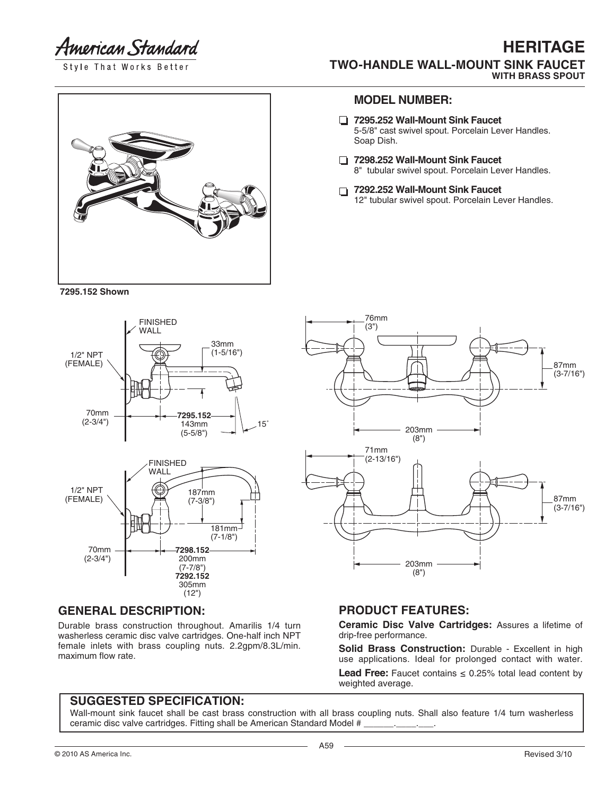American Standard

Style That Works Better

#### **HERITAGE TWO-HANDLE WALL-MOUNT SINK FAUCET WITH BRASS SPOUT**

**7295.152 Shown**





### **GENERAL DESCRIPTION:**

Durable brass construction throughout. Amarilis 1/4 turn washerless ceramic disc valve cartridges. One-half inch NPT female inlets with brass coupling nuts. 2.2gpm/8.3L/min. maximum flow rate.

#### **MODEL NUMBER:**

- **7295.252 Wall-Mount Sink Faucet** 5-5/8" cast swivel spout. Porcelain Lever Handles. Soap Dish.
- **7298.252 Wall-Mount Sink Faucet** 8" tubular swivel spout. Porcelain Lever Handles.
- **7292.252 Wall-Mount Sink Faucet** 12" tubular swivel spout. Porcelain Lever Handles.



#### **PRODUCT FEATURES:**

**Ceramic Disc Valve Cartridges:** Assures a lifetime of drip-free performance.

**Solid Brass Construction:** Durable - Excellent in high use applications. Ideal for prolonged contact with water. **Lead Free:** Faucet contains  $\leq$  0.25% total lead content by weighted average.

#### **SUGGESTED SPECIFICATION:**

Wall-mount sink faucet shall be cast brass construction with all brass coupling nuts. Shall also feature 1/4 turn washerless ceramic disc valve cartridges. Fitting shall be American Standard Model #